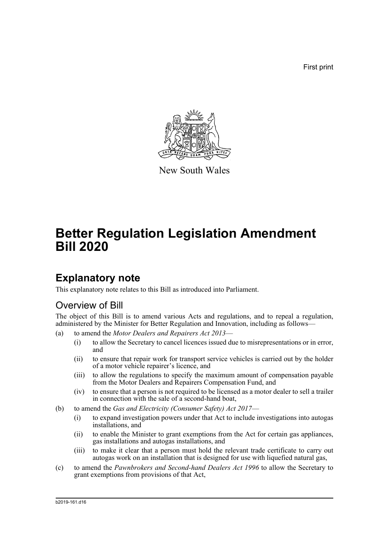First print



New South Wales

# **Better Regulation Legislation Amendment Bill 2020**

# **Explanatory note**

This explanatory note relates to this Bill as introduced into Parliament.

## Overview of Bill

The object of this Bill is to amend various Acts and regulations, and to repeal a regulation, administered by the Minister for Better Regulation and Innovation, including as follows—

- (a) to amend the *Motor Dealers and Repairers Act 2013*
	- (i) to allow the Secretary to cancel licences issued due to misrepresentations or in error, and
	- (ii) to ensure that repair work for transport service vehicles is carried out by the holder of a motor vehicle repairer's licence, and
	- (iii) to allow the regulations to specify the maximum amount of compensation payable from the Motor Dealers and Repairers Compensation Fund, and
	- (iv) to ensure that a person is not required to be licensed as a motor dealer to sell a trailer in connection with the sale of a second-hand boat,
- (b) to amend the *Gas and Electricity (Consumer Safety) Act 2017*
	- (i) to expand investigation powers under that Act to include investigations into autogas installations, and
	- (ii) to enable the Minister to grant exemptions from the Act for certain gas appliances, gas installations and autogas installations, and
	- (iii) to make it clear that a person must hold the relevant trade certificate to carry out autogas work on an installation that is designed for use with liquefied natural gas,
- (c) to amend the *Pawnbrokers and Second-hand Dealers Act 1996* to allow the Secretary to grant exemptions from provisions of that Act,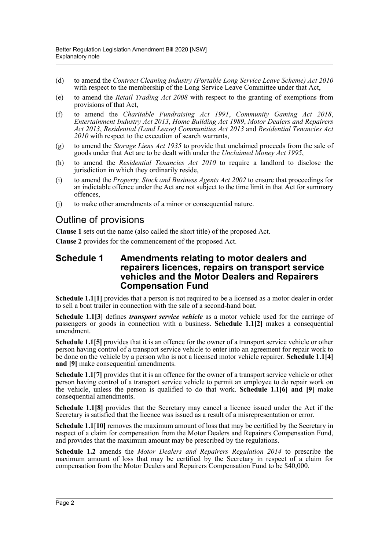- (d) to amend the *Contract Cleaning Industry (Portable Long Service Leave Scheme) Act 2010* with respect to the membership of the Long Service Leave Committee under that Act,
- (e) to amend the *Retail Trading Act 2008* with respect to the granting of exemptions from provisions of that Act,
- (f) to amend the *Charitable Fundraising Act 1991*, *Community Gaming Act 2018*, *Entertainment Industry Act 2013*, *Home Building Act 1989*, *Motor Dealers and Repairers Act 2013*, *Residential (Land Lease) Communities Act 2013* and *Residential Tenancies Act 2010* with respect to the execution of search warrants,
- (g) to amend the *Storage Liens Act 1935* to provide that unclaimed proceeds from the sale of goods under that Act are to be dealt with under the *Unclaimed Money Act 1995*,
- (h) to amend the *Residential Tenancies Act 2010* to require a landlord to disclose the jurisdiction in which they ordinarily reside,
- (i) to amend the *Property, Stock and Business Agents Act 2002* to ensure that proceedings for an indictable offence under the Act are not subject to the time limit in that Act for summary offences,
- (j) to make other amendments of a minor or consequential nature.

## Outline of provisions

**Clause 1** sets out the name (also called the short title) of the proposed Act.

**Clause 2** provides for the commencement of the proposed Act.

### **Schedule 1 Amendments relating to motor dealers and repairers licences, repairs on transport service vehicles and the Motor Dealers and Repairers Compensation Fund**

**Schedule 1.1[1]** provides that a person is not required to be a licensed as a motor dealer in order to sell a boat trailer in connection with the sale of a second-hand boat.

**Schedule 1.1[3]** defines *transport service vehicle* as a motor vehicle used for the carriage of passengers or goods in connection with a business. **Schedule 1.1[2]** makes a consequential amendment.

**Schedule 1.1[5]** provides that it is an offence for the owner of a transport service vehicle or other person having control of a transport service vehicle to enter into an agreement for repair work to be done on the vehicle by a person who is not a licensed motor vehicle repairer. **Schedule 1.1[4] and [9]** make consequential amendments.

**Schedule 1.1[7]** provides that it is an offence for the owner of a transport service vehicle or other person having control of a transport service vehicle to permit an employee to do repair work on the vehicle, unless the person is qualified to do that work. **Schedule 1.1[6] and [9]** make consequential amendments.

**Schedule 1.1[8]** provides that the Secretary may cancel a licence issued under the Act if the Secretary is satisfied that the licence was issued as a result of a misrepresentation or error.

**Schedule 1.1[10]** removes the maximum amount of loss that may be certified by the Secretary in respect of a claim for compensation from the Motor Dealers and Repairers Compensation Fund, and provides that the maximum amount may be prescribed by the regulations.

**Schedule 1.2** amends the *Motor Dealers and Repairers Regulation 2014* to prescribe the maximum amount of loss that may be certified by the Secretary in respect of a claim for compensation from the Motor Dealers and Repairers Compensation Fund to be \$40,000.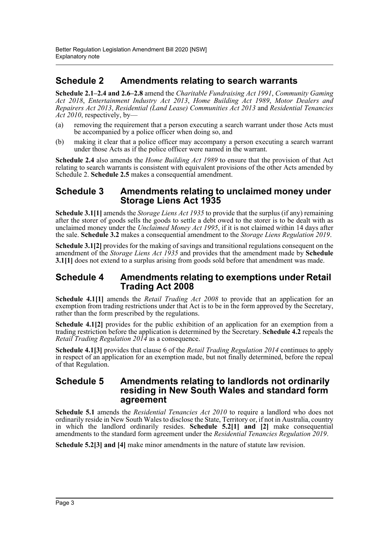## **Schedule 2 Amendments relating to search warrants**

**Schedule 2.1–2.4 and 2.6–2.8** amend the *Charitable Fundraising Act 1991*, *Community Gaming Act 2018*, *Entertainment Industry Act 2013*, *Home Building Act 1989*, *Motor Dealers and Repairers Act 2013*, *Residential (Land Lease) Communities Act 2013* and *Residential Tenancies Act 2010*, respectively, by—

- (a) removing the requirement that a person executing a search warrant under those Acts must be accompanied by a police officer when doing so, and
- (b) making it clear that a police officer may accompany a person executing a search warrant under those Acts as if the police officer were named in the warrant.

**Schedule 2.4** also amends the *Home Building Act 1989* to ensure that the provision of that Act relating to search warrants is consistent with equivalent provisions of the other Acts amended by Schedule 2. **Schedule 2.5** makes a consequential amendment.

### **Schedule 3 Amendments relating to unclaimed money under Storage Liens Act 1935**

**Schedule 3.1[1]** amends the *Storage Liens Act 1935* to provide that the surplus (if any) remaining after the storer of goods sells the goods to settle a debt owed to the storer is to be dealt with as unclaimed money under the *Unclaimed Money Act 1995*, if it is not claimed within 14 days after the sale. **Schedule 3.2** makes a consequential amendment to the *Storage Liens Regulation 2019*.

**Schedule 3.1[2]** provides for the making of savings and transitional regulations consequent on the amendment of the *Storage Liens Act 1935* and provides that the amendment made by **Schedule 3.1[1]** does not extend to a surplus arising from goods sold before that amendment was made.

### **Schedule 4 Amendments relating to exemptions under Retail Trading Act 2008**

**Schedule 4.1[1]** amends the *Retail Trading Act 2008* to provide that an application for an exemption from trading restrictions under that Act is to be in the form approved by the Secretary, rather than the form prescribed by the regulations.

**Schedule 4.1[2]** provides for the public exhibition of an application for an exemption from a trading restriction before the application is determined by the Secretary. **Schedule 4.2** repeals the *Retail Trading Regulation 2014* as a consequence.

**Schedule 4.1[3]** provides that clause 6 of the *Retail Trading Regulation 2014* continues to apply in respect of an application for an exemption made, but not finally determined, before the repeal of that Regulation.

### **Schedule 5 Amendments relating to landlords not ordinarily residing in New South Wales and standard form agreement**

**Schedule 5.1** amends the *Residential Tenancies Act 2010* to require a landlord who does not ordinarily reside in New South Wales to disclose the State, Territory or, if not in Australia, country in which the landlord ordinarily resides. **Schedule 5.2[1] and [2]** make consequential amendments to the standard form agreement under the *Residential Tenancies Regulation 2019*.

**Schedule 5.2[3] and [4]** make minor amendments in the nature of statute law revision.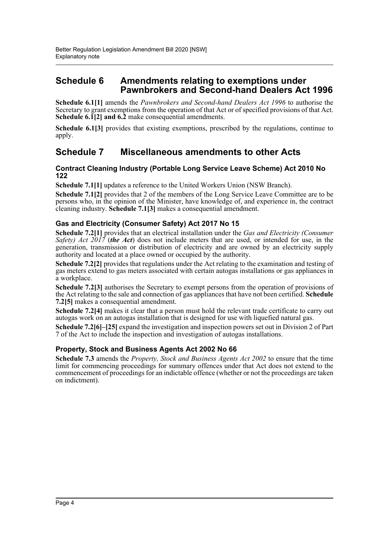## **Schedule 6 Amendments relating to exemptions under Pawnbrokers and Second-hand Dealers Act 1996**

**Schedule 6.1[1]** amends the *Pawnbrokers and Second-hand Dealers Act 1996* to authorise the Secretary to grant exemptions from the operation of that Act or of specified provisions of that Act. **Schedule 6.1[2] and 6.2** make consequential amendments.

**Schedule 6.1[3]** provides that existing exemptions, prescribed by the regulations, continue to apply.

## **Schedule 7 Miscellaneous amendments to other Acts**

#### **Contract Cleaning Industry (Portable Long Service Leave Scheme) Act 2010 No 122**

**Schedule 7.1[1]** updates a reference to the United Workers Union (NSW Branch).

**Schedule 7.1[2]** provides that 2 of the members of the Long Service Leave Committee are to be persons who, in the opinion of the Minister, have knowledge of, and experience in, the contract cleaning industry. **Schedule 7.1[3]** makes a consequential amendment.

#### **Gas and Electricity (Consumer Safety) Act 2017 No 15**

**Schedule 7.2[1]** provides that an electrical installation under the *Gas and Electricity (Consumer Safety) Act 2017* (*the Act*) does not include meters that are used, or intended for use, in the generation, transmission or distribution of electricity and are owned by an electricity supply authority and located at a place owned or occupied by the authority.

**Schedule 7.2[2]** provides that regulations under the Act relating to the examination and testing of gas meters extend to gas meters associated with certain autogas installations or gas appliances in a workplace.

**Schedule 7.2[3]** authorises the Secretary to exempt persons from the operation of provisions of the Act relating to the sale and connection of gas appliances that have not been certified. **Schedule 7.2[5]** makes a consequential amendment.

**Schedule 7.2[4]** makes it clear that a person must hold the relevant trade certificate to carry out autogas work on an autogas installation that is designed for use with liquefied natural gas.

**Schedule 7.2[6]–[25]** expand the investigation and inspection powers set out in Division 2 of Part 7 of the Act to include the inspection and investigation of autogas installations.

#### **Property, Stock and Business Agents Act 2002 No 66**

**Schedule 7.3** amends the *Property, Stock and Business Agents Act 2002* to ensure that the time limit for commencing proceedings for summary offences under that Act does not extend to the commencement of proceedings for an indictable offence (whether or not the proceedings are taken on indictment).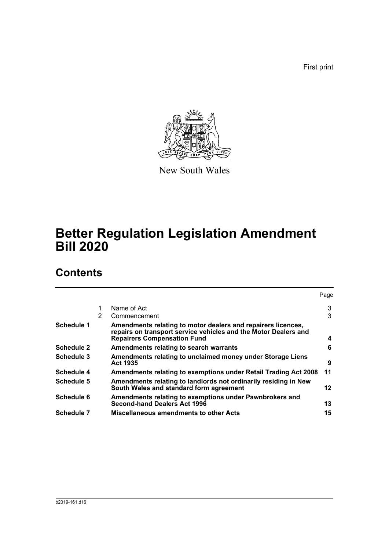First print



New South Wales

# **Better Regulation Legislation Amendment Bill 2020**

# **Contents**

|                   |   |                                                                                                                                                                       | Page |
|-------------------|---|-----------------------------------------------------------------------------------------------------------------------------------------------------------------------|------|
|                   |   | Name of Act                                                                                                                                                           | 3    |
|                   | 2 | Commencement                                                                                                                                                          | 3    |
| Schedule 1        |   | Amendments relating to motor dealers and repairers licences,<br>repairs on transport service vehicles and the Motor Dealers and<br><b>Repairers Compensation Fund</b> | 4    |
| <b>Schedule 2</b> |   | Amendments relating to search warrants                                                                                                                                | 6    |
| Schedule 3        |   | Amendments relating to unclaimed money under Storage Liens<br><b>Act 1935</b>                                                                                         | 9    |
| Schedule 4        |   | Amendments relating to exemptions under Retail Trading Act 2008                                                                                                       | 11   |
| Schedule 5        |   | Amendments relating to landlords not ordinarily residing in New<br>South Wales and standard form agreement                                                            | 12   |
| Schedule 6        |   | Amendments relating to exemptions under Pawnbrokers and<br><b>Second-hand Dealers Act 1996</b>                                                                        | 13   |
| <b>Schedule 7</b> |   | <b>Miscellaneous amendments to other Acts</b>                                                                                                                         | 15   |
|                   |   |                                                                                                                                                                       |      |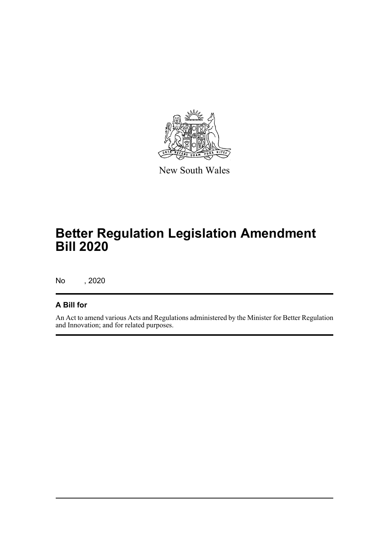

New South Wales

# **Better Regulation Legislation Amendment Bill 2020**

No , 2020

## **A Bill for**

An Act to amend various Acts and Regulations administered by the Minister for Better Regulation and Innovation; and for related purposes.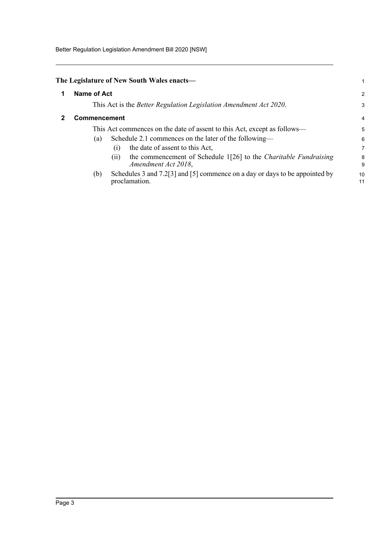Better Regulation Legislation Amendment Bill 2020 [NSW]

<span id="page-6-1"></span><span id="page-6-0"></span>

| The Legislature of New South Wales enacts—                                                             |          |
|--------------------------------------------------------------------------------------------------------|----------|
| Name of Act                                                                                            | 2        |
| This Act is the <i>Better Regulation Legislation Amendment Act 2020</i> .                              | 3        |
| <b>Commencement</b>                                                                                    |          |
| This Act commences on the date of assent to this Act, except as follows—                               | 5        |
| Schedule 2.1 commences on the later of the following—<br>(a)<br>the date of assent to this Act,<br>(1) | 6<br>7   |
| the commencement of Schedule 1[26] to the Charitable Fundraising<br>(11)<br>Amendment Act 2018,        | 8<br>9   |
| Schedules 3 and 7.2[3] and [5] commence on a day or days to be appointed by<br>(b)<br>proclamation.    | 10<br>11 |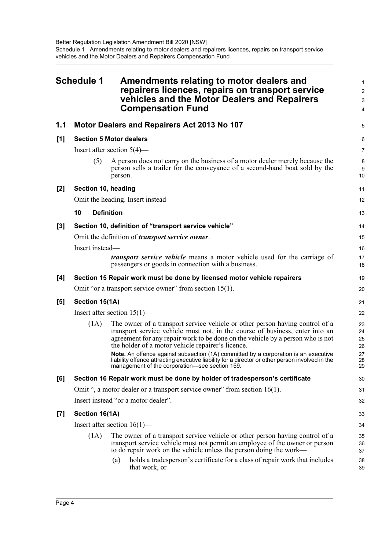<span id="page-7-0"></span>

| <b>Schedule 1</b> |                         | Amendments relating to motor dealers and<br>repairers licences, repairs on transport service<br>vehicles and the Motor Dealers and Repairers<br><b>Compensation Fund</b>                                                                                                                                                                                                                                                                                                                                                                        | $\mathbf 1$<br>$\overline{c}$<br>$\mathbf{3}$<br>4 |
|-------------------|-------------------------|-------------------------------------------------------------------------------------------------------------------------------------------------------------------------------------------------------------------------------------------------------------------------------------------------------------------------------------------------------------------------------------------------------------------------------------------------------------------------------------------------------------------------------------------------|----------------------------------------------------|
| 1.1               |                         | Motor Dealers and Repairers Act 2013 No 107                                                                                                                                                                                                                                                                                                                                                                                                                                                                                                     | 5                                                  |
| [1]               |                         | <b>Section 5 Motor dealers</b>                                                                                                                                                                                                                                                                                                                                                                                                                                                                                                                  | 6                                                  |
|                   |                         | Insert after section $5(4)$ —                                                                                                                                                                                                                                                                                                                                                                                                                                                                                                                   | $\overline{7}$                                     |
|                   | (5)                     | A person does not carry on the business of a motor dealer merely because the<br>person sells a trailer for the conveyance of a second-hand boat sold by the<br>person.                                                                                                                                                                                                                                                                                                                                                                          | 8<br>9<br>10                                       |
| [2]               | Section 10, heading     |                                                                                                                                                                                                                                                                                                                                                                                                                                                                                                                                                 | 11                                                 |
|                   |                         | Omit the heading. Insert instead—                                                                                                                                                                                                                                                                                                                                                                                                                                                                                                               | 12                                                 |
|                   | 10<br><b>Definition</b> |                                                                                                                                                                                                                                                                                                                                                                                                                                                                                                                                                 | 13                                                 |
| $[3]$             |                         | Section 10, definition of "transport service vehicle"                                                                                                                                                                                                                                                                                                                                                                                                                                                                                           | 14                                                 |
|                   |                         | Omit the definition of <i>transport service owner</i> .                                                                                                                                                                                                                                                                                                                                                                                                                                                                                         | 15                                                 |
|                   | Insert instead-         |                                                                                                                                                                                                                                                                                                                                                                                                                                                                                                                                                 | 16                                                 |
|                   |                         | <i>transport service vehicle</i> means a motor vehicle used for the carriage of<br>passengers or goods in connection with a business.                                                                                                                                                                                                                                                                                                                                                                                                           | 17<br>18                                           |
| [4]               |                         | Section 15 Repair work must be done by licensed motor vehicle repairers                                                                                                                                                                                                                                                                                                                                                                                                                                                                         | 19                                                 |
|                   |                         | Omit "or a transport service owner" from section $15(1)$ .                                                                                                                                                                                                                                                                                                                                                                                                                                                                                      | 20                                                 |
| [5]               | Section 15(1A)          |                                                                                                                                                                                                                                                                                                                                                                                                                                                                                                                                                 | 21                                                 |
|                   |                         | Insert after section $15(1)$ —                                                                                                                                                                                                                                                                                                                                                                                                                                                                                                                  | 22                                                 |
|                   | (1A)                    | The owner of a transport service vehicle or other person having control of a<br>transport service vehicle must not, in the course of business, enter into an<br>agreement for any repair work to be done on the vehicle by a person who is not<br>the holder of a motor vehicle repairer's licence.<br>Note. An offence against subsection (1A) committed by a corporation is an executive<br>liability offence attracting executive liability for a director or other person involved in the<br>management of the corporation—see section 159. | 23<br>24<br>25<br>26<br>27<br>28<br>29             |
| [6]               |                         | Section 16 Repair work must be done by holder of tradesperson's certificate                                                                                                                                                                                                                                                                                                                                                                                                                                                                     | 30                                                 |
|                   |                         | Omit ", a motor dealer or a transport service owner" from section 16(1).                                                                                                                                                                                                                                                                                                                                                                                                                                                                        | 31                                                 |
|                   |                         | Insert instead "or a motor dealer".                                                                                                                                                                                                                                                                                                                                                                                                                                                                                                             | 32                                                 |
| $[7]$             | Section 16(1A)          |                                                                                                                                                                                                                                                                                                                                                                                                                                                                                                                                                 | 33                                                 |
|                   |                         | Insert after section $16(1)$ —                                                                                                                                                                                                                                                                                                                                                                                                                                                                                                                  | 34                                                 |
|                   | (1A)                    | The owner of a transport service vehicle or other person having control of a<br>transport service vehicle must not permit an employee of the owner or person<br>to do repair work on the vehicle unless the person doing the work—                                                                                                                                                                                                                                                                                                              | 35<br>36<br>37                                     |
|                   |                         | holds a tradesperson's certificate for a class of repair work that includes<br>(a)<br>that work, or                                                                                                                                                                                                                                                                                                                                                                                                                                             | 38<br>39                                           |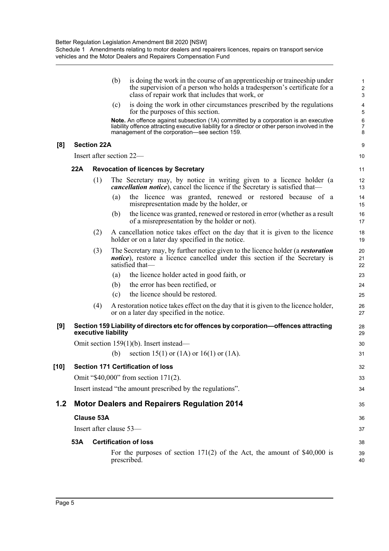|      |     |                         | (b) | is doing the work in the course of an apprentice ship or trainee ship under<br>the supervision of a person who holds a tradesperson's certificate for a<br>class of repair work that includes that work, or                              | 1<br>$\overline{c}$<br>3     |
|------|-----|-------------------------|-----|------------------------------------------------------------------------------------------------------------------------------------------------------------------------------------------------------------------------------------------|------------------------------|
|      |     |                         | (c) | is doing the work in other circumstances prescribed by the regulations<br>for the purposes of this section.                                                                                                                              | 4<br>5                       |
|      |     |                         |     | Note. An offence against subsection (1A) committed by a corporation is an executive<br>liability offence attracting executive liability for a director or other person involved in the<br>management of the corporation-see section 159. | $\,6$<br>$\overline{7}$<br>8 |
| [8]  |     | <b>Section 22A</b>      |     |                                                                                                                                                                                                                                          | 9                            |
|      |     |                         |     | Insert after section 22—                                                                                                                                                                                                                 | 10                           |
|      | 22A |                         |     | <b>Revocation of licences by Secretary</b>                                                                                                                                                                                               | 11                           |
|      |     | (1)                     |     | The Secretary may, by notice in writing given to a licence holder (a<br><i>cancellation notice</i> ), cancel the licence if the Secretary is satisfied that—                                                                             | 12<br>13                     |
|      |     |                         | (a) | the licence was granted, renewed or restored because of a<br>misrepresentation made by the holder, or                                                                                                                                    | 14<br>15                     |
|      |     |                         | (b) | the licence was granted, renewed or restored in error (whether as a result<br>of a misrepresentation by the holder or not).                                                                                                              | 16<br>17                     |
|      |     | (2)                     |     | A cancellation notice takes effect on the day that it is given to the licence<br>holder or on a later day specified in the notice.                                                                                                       | 18<br>19                     |
|      |     | (3)                     |     | The Secretary may, by further notice given to the licence holder (a <i>restoration</i><br><i>notice</i> ), restore a licence cancelled under this section if the Secretary is<br>satisfied that-                                         | 20<br>21<br>22               |
|      |     |                         | (a) | the licence holder acted in good faith, or                                                                                                                                                                                               | 23                           |
|      |     |                         | (b) | the error has been rectified, or                                                                                                                                                                                                         | 24                           |
|      |     |                         | (c) | the licence should be restored.                                                                                                                                                                                                          | 25                           |
|      |     | (4)                     |     | A restoration notice takes effect on the day that it is given to the licence holder,<br>or on a later day specified in the notice.                                                                                                       | 26<br>27                     |
| [9]  |     | executive liability     |     | Section 159 Liability of directors etc for offences by corporation-offences attracting                                                                                                                                                   | 28<br>29                     |
|      |     |                         |     | Omit section $159(1)(b)$ . Insert instead—                                                                                                                                                                                               | 30                           |
|      |     |                         | (b) | section 15(1) or $(1A)$ or $16(1)$ or $(1A)$ .                                                                                                                                                                                           | 31                           |
| [10] |     |                         |     | <b>Section 171 Certification of loss</b>                                                                                                                                                                                                 | 32                           |
|      |     |                         |     | Omit "\$40,000" from section 171(2).                                                                                                                                                                                                     | 33                           |
|      |     |                         |     | Insert instead "the amount prescribed by the regulations".                                                                                                                                                                               | 34                           |
| 1.2  |     |                         |     | <b>Motor Dealers and Repairers Regulation 2014</b>                                                                                                                                                                                       | 35                           |
|      |     | <b>Clause 53A</b>       |     |                                                                                                                                                                                                                                          | 36                           |
|      |     | Insert after clause 53- |     |                                                                                                                                                                                                                                          | 37                           |
|      | 53A |                         |     | <b>Certification of loss</b>                                                                                                                                                                                                             | 38                           |
|      |     |                         |     | For the purposes of section $171(2)$ of the Act, the amount of \$40,000 is                                                                                                                                                               | 39                           |
|      |     |                         |     | prescribed.                                                                                                                                                                                                                              | 40                           |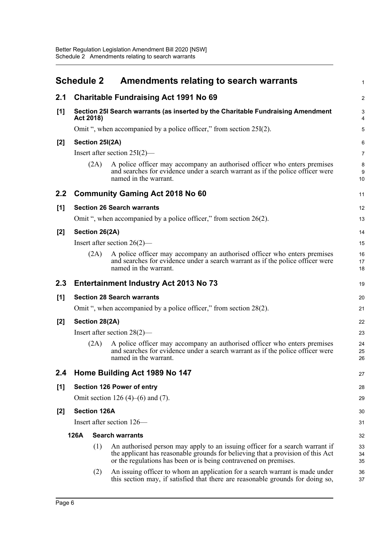<span id="page-9-0"></span>

|                                | <b>Schedule 2</b>         |                 | Amendments relating to search warrants                                                                                                                                                                                              | $\mathbf{1}$                |
|--------------------------------|---------------------------|-----------------|-------------------------------------------------------------------------------------------------------------------------------------------------------------------------------------------------------------------------------------|-----------------------------|
| 2.1                            |                           |                 | <b>Charitable Fundraising Act 1991 No 69</b>                                                                                                                                                                                        | $\mathbf{2}$                |
| [1]                            | Act 2018)                 |                 | Section 25I Search warrants (as inserted by the Charitable Fundraising Amendment                                                                                                                                                    | 3<br>4                      |
|                                |                           |                 | Omit ", when accompanied by a police officer," from section 25I(2).                                                                                                                                                                 | 5                           |
| [2]                            |                           | Section 25I(2A) |                                                                                                                                                                                                                                     | 6                           |
|                                |                           |                 | Insert after section 25I(2)-                                                                                                                                                                                                        | $\overline{7}$              |
|                                |                           | (2A)            | A police officer may accompany an authorised officer who enters premises<br>and searches for evidence under a search warrant as if the police officer were<br>named in the warrant.                                                 | 8<br>$\boldsymbol{9}$<br>10 |
| 2.2                            |                           |                 | <b>Community Gaming Act 2018 No 60</b>                                                                                                                                                                                              | 11                          |
| $[1]$                          |                           |                 | <b>Section 26 Search warrants</b>                                                                                                                                                                                                   | 12                          |
|                                |                           |                 | Omit ", when accompanied by a police officer," from section $26(2)$ .                                                                                                                                                               | 13                          |
| $[2]$                          |                           | Section 26(2A)  |                                                                                                                                                                                                                                     | 14                          |
|                                |                           |                 | Insert after section $26(2)$ —                                                                                                                                                                                                      | 15                          |
|                                |                           | (2A)            | A police officer may accompany an authorised officer who enters premises<br>and searches for evidence under a search warrant as if the police officer were<br>named in the warrant.                                                 | 16<br>17<br>18              |
| 2.3                            |                           |                 | <b>Entertainment Industry Act 2013 No 73</b>                                                                                                                                                                                        | 19                          |
| [1]                            |                           |                 | <b>Section 28 Search warrants</b>                                                                                                                                                                                                   | 20                          |
|                                |                           |                 | Omit ", when accompanied by a police officer," from section 28(2).                                                                                                                                                                  | 21                          |
| $[2]$                          |                           | Section 28(2A)  |                                                                                                                                                                                                                                     | 22                          |
|                                |                           |                 | Insert after section $28(2)$ —                                                                                                                                                                                                      | 23                          |
|                                |                           | (2A)            | A police officer may accompany an authorised officer who enters premises<br>and searches for evidence under a search warrant as if the police officer were<br>named in the warrant.                                                 | 24<br>25<br>26              |
| 2.4                            |                           |                 | Home Building Act 1989 No 147                                                                                                                                                                                                       | 27                          |
| [1]                            |                           |                 | <b>Section 126 Power of entry</b>                                                                                                                                                                                                   | 28                          |
|                                |                           |                 | Omit section 126 (4)–(6) and (7).                                                                                                                                                                                                   | 29                          |
| [2]                            | <b>Section 126A</b>       |                 |                                                                                                                                                                                                                                     | 30                          |
|                                | Insert after section 126— |                 |                                                                                                                                                                                                                                     | 31                          |
| 126A<br><b>Search warrants</b> |                           |                 |                                                                                                                                                                                                                                     | 32                          |
|                                |                           | (1)             | An authorised person may apply to an issuing officer for a search warrant if<br>the applicant has reasonable grounds for believing that a provision of this Act<br>or the regulations has been or is being contravened on premises. | 33<br>34<br>35              |
|                                |                           | (2)             | An issuing officer to whom an application for a search warrant is made under<br>this section may, if satisfied that there are reasonable grounds for doing so,                                                                      | 36<br>37                    |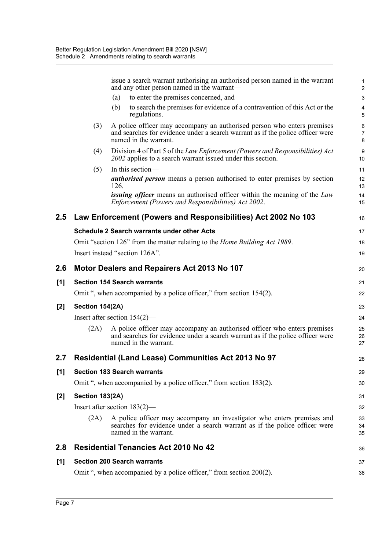|       |                 | issue a search warrant authorising an authorised person named in the warrant<br>and any other person named in the warrant-                                                          | $\mathbf{1}$<br>$\overline{2}$ |
|-------|-----------------|-------------------------------------------------------------------------------------------------------------------------------------------------------------------------------------|--------------------------------|
|       |                 | to enter the premises concerned, and<br>(a)                                                                                                                                         | $\mathbf{3}$                   |
|       |                 | to search the premises for evidence of a contravention of this Act or the<br>(b)<br>regulations.                                                                                    | 4<br>5                         |
|       | (3)             | A police officer may accompany an authorised person who enters premises<br>and searches for evidence under a search warrant as if the police officer were<br>named in the warrant.  | 6<br>$\overline{7}$<br>$\bf 8$ |
|       | (4)             | Division 4 of Part 5 of the Law Enforcement (Powers and Responsibilities) Act<br>2002 applies to a search warrant issued under this section.                                        | 9<br>10                        |
|       | (5)             | In this section-                                                                                                                                                                    | 11                             |
|       |                 | <b><i>authorised person</i></b> means a person authorised to enter premises by section<br>126.                                                                                      | 12<br>13                       |
|       |                 | <i>issuing officer</i> means an authorised officer within the meaning of the Law<br>Enforcement (Powers and Responsibilities) Act 2002.                                             | 14<br>15                       |
| 2.5   |                 | Law Enforcement (Powers and Responsibilities) Act 2002 No 103                                                                                                                       | 16                             |
|       |                 | <b>Schedule 2 Search warrants under other Acts</b>                                                                                                                                  | 17                             |
|       |                 | Omit "section 126" from the matter relating to the <i>Home Building Act 1989</i> .                                                                                                  | 18                             |
|       |                 | Insert instead "section 126A".                                                                                                                                                      | 19                             |
| 2.6   |                 | Motor Dealers and Repairers Act 2013 No 107                                                                                                                                         | 20                             |
| [1]   |                 | <b>Section 154 Search warrants</b>                                                                                                                                                  | 21                             |
|       |                 | Omit ", when accompanied by a police officer," from section 154(2).                                                                                                                 | 22                             |
| $[2]$ | Section 154(2A) |                                                                                                                                                                                     | 23                             |
|       |                 | Insert after section $154(2)$ —                                                                                                                                                     | 24                             |
|       | (2A)            | A police officer may accompany an authorised officer who enters premises<br>and searches for evidence under a search warrant as if the police officer were<br>named in the warrant. | 25<br>26<br>27                 |
| 2.7   |                 | Residential (Land Lease) Communities Act 2013 No 97                                                                                                                                 | 28                             |
| $[1]$ |                 | <b>Section 183 Search warrants</b>                                                                                                                                                  | 29                             |
|       |                 | Omit ", when accompanied by a police officer," from section 183(2).                                                                                                                 | 30                             |
| $[2]$ | Section 183(2A) |                                                                                                                                                                                     | 31                             |
|       |                 | Insert after section $183(2)$ —                                                                                                                                                     | 32                             |
|       | (2A)            | A police officer may accompany an investigator who enters premises and<br>searches for evidence under a search warrant as if the police officer were<br>named in the warrant.       | 33<br>34<br>35                 |
| 2.8   |                 | <b>Residential Tenancies Act 2010 No 42</b>                                                                                                                                         | 36                             |
| $[1]$ |                 | <b>Section 200 Search warrants</b>                                                                                                                                                  | 37                             |
|       |                 |                                                                                                                                                                                     |                                |
|       |                 | Omit ", when accompanied by a police officer," from section 200(2).                                                                                                                 | 38                             |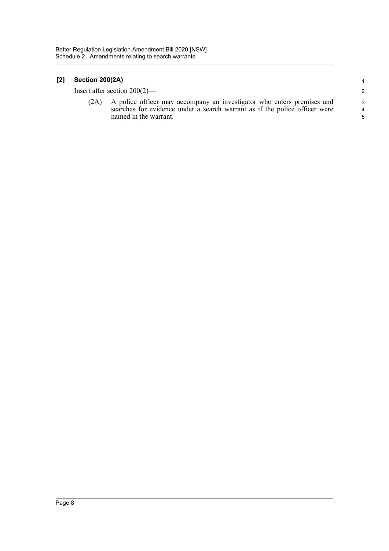### **[2] Section 200(2A)**

Insert after section 200(2)—

(2A) A police officer may accompany an investigator who enters premises and searches for evidence under a search warrant as if the police officer were named in the warrant.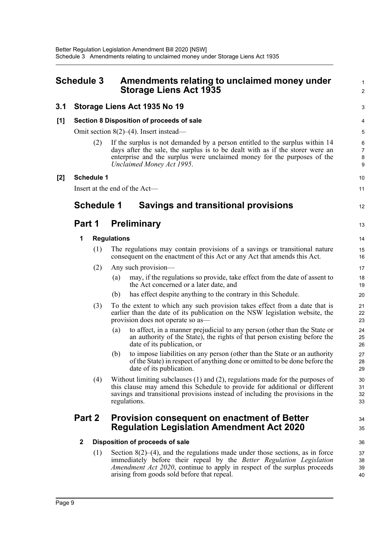<span id="page-12-0"></span>

| <b>Schedule 3</b> |             |                   | Amendments relating to unclaimed money under<br><b>Storage Liens Act 1935</b>                                                                                                                                                                                                              |                                   |  |
|-------------------|-------------|-------------------|--------------------------------------------------------------------------------------------------------------------------------------------------------------------------------------------------------------------------------------------------------------------------------------------|-----------------------------------|--|
| 3.1               |             |                   | Storage Liens Act 1935 No 19                                                                                                                                                                                                                                                               | 3                                 |  |
| [1]               |             |                   | Section 8 Disposition of proceeds of sale                                                                                                                                                                                                                                                  | 4                                 |  |
|                   |             |                   | Omit section $8(2)$ –(4). Insert instead—                                                                                                                                                                                                                                                  | 5                                 |  |
|                   |             | (2)               | If the surplus is not demanded by a person entitled to the surplus within 14<br>days after the sale, the surplus is to be dealt with as if the storer were an<br>enterprise and the surplus were unclaimed money for the purposes of the<br>Unclaimed Money Act 1995.                      | $\,6$<br>$\overline{7}$<br>8<br>9 |  |
| [2]               |             | <b>Schedule 1</b> |                                                                                                                                                                                                                                                                                            | 10                                |  |
|                   |             |                   | Insert at the end of the Act-                                                                                                                                                                                                                                                              | 11                                |  |
|                   |             | <b>Schedule 1</b> | <b>Savings and transitional provisions</b>                                                                                                                                                                                                                                                 | 12                                |  |
|                   | Part 1      |                   | <b>Preliminary</b>                                                                                                                                                                                                                                                                         | 13                                |  |
|                   | 1           |                   | <b>Regulations</b>                                                                                                                                                                                                                                                                         | 14                                |  |
|                   |             | (1)               | The regulations may contain provisions of a savings or transitional nature<br>consequent on the enactment of this Act or any Act that amends this Act.                                                                                                                                     | 15<br>16                          |  |
|                   |             | (2)               | Any such provision-                                                                                                                                                                                                                                                                        | 17                                |  |
|                   |             |                   | may, if the regulations so provide, take effect from the date of assent to<br>(a)<br>the Act concerned or a later date, and                                                                                                                                                                | 18<br>19                          |  |
|                   |             |                   | has effect despite anything to the contrary in this Schedule.<br>(b)                                                                                                                                                                                                                       | 20                                |  |
|                   |             | (3)               | To the extent to which any such provision takes effect from a date that is<br>earlier than the date of its publication on the NSW legislation website, the<br>provision does not operate so as—                                                                                            | 21<br>22<br>23                    |  |
|                   |             |                   | to affect, in a manner prejudicial to any person (other than the State or<br>(a)<br>an authority of the State), the rights of that person existing before the<br>date of its publication, or                                                                                               | 24<br>25<br>26                    |  |
|                   |             |                   | to impose liabilities on any person (other than the State or an authority<br>(b)<br>of the State) in respect of anything done or omitted to be done before the<br>date of its publication.                                                                                                 | 27<br>28<br>29                    |  |
|                   |             | (4)               | Without limiting subclauses $(1)$ and $(2)$ , regulations made for the purposes of<br>this clause may amend this Schedule to provide for additional or different<br>savings and transitional provisions instead of including the provisions in the<br>regulations.                         | 30<br>31<br>32<br>33              |  |
|                   | Part 2      |                   | <b>Provision consequent on enactment of Better</b><br><b>Regulation Legislation Amendment Act 2020</b>                                                                                                                                                                                     | 34<br>35                          |  |
|                   | $\mathbf 2$ |                   | Disposition of proceeds of sale                                                                                                                                                                                                                                                            | 36                                |  |
|                   |             | (1)               | Section $8(2)$ –(4), and the regulations made under those sections, as in force<br>immediately before their repeal by the Better Regulation Legislation<br><i>Amendment Act 2020</i> , continue to apply in respect of the surplus proceeds<br>arising from goods sold before that repeal. | 37<br>38<br>39<br>40              |  |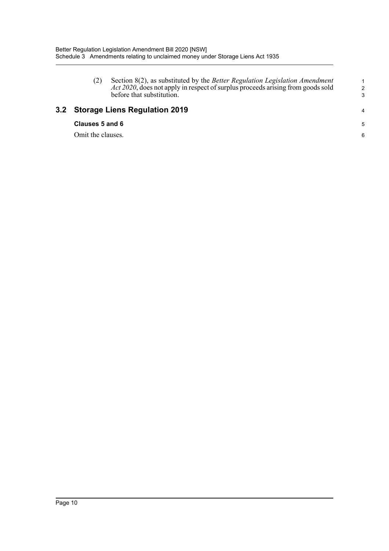(2) Section 8(2), as substituted by the *Better Regulation Legislation Amendment Act 2020*, does not apply in respect of surplus proceeds arising from goods sold before that substitution.

## **3.2 Storage Liens Regulation 2019**

#### **Clauses 5 and 6**

Omit the clauses.

1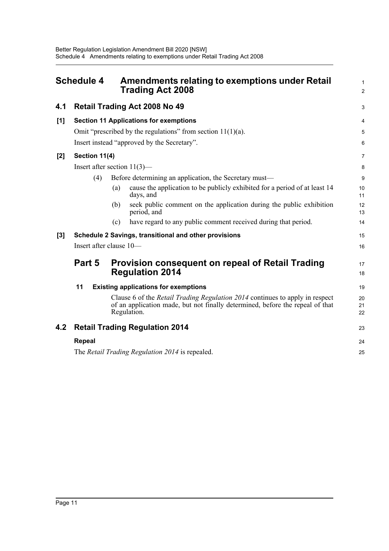<span id="page-14-0"></span>

|       | <b>Schedule 4</b> | <b>Amendments relating to exemptions under Retail</b><br><b>Trading Act 2008</b>                                                                                                    | 1<br>$\overline{2}$ |
|-------|-------------------|-------------------------------------------------------------------------------------------------------------------------------------------------------------------------------------|---------------------|
| 4.1   |                   | <b>Retail Trading Act 2008 No 49</b>                                                                                                                                                | 3                   |
| [1]   |                   | <b>Section 11 Applications for exemptions</b>                                                                                                                                       | 4                   |
|       |                   | Omit "prescribed by the regulations" from section $11(1)(a)$ .                                                                                                                      | 5                   |
|       |                   | Insert instead "approved by the Secretary".                                                                                                                                         | 6                   |
| $[2]$ | Section 11(4)     |                                                                                                                                                                                     | $\overline{7}$      |
|       |                   | Insert after section $11(3)$ —                                                                                                                                                      | 8                   |
|       | (4)               | Before determining an application, the Secretary must—                                                                                                                              | 9                   |
|       |                   | cause the application to be publicly exhibited for a period of at least 14<br>(a)<br>days, and                                                                                      | 10<br>11            |
|       |                   | seek public comment on the application during the public exhibition<br>(b)<br>period, and                                                                                           | 12<br>13            |
|       |                   | have regard to any public comment received during that period.<br>(c)                                                                                                               | 14                  |
| [3]   |                   | Schedule 2 Savings, transitional and other provisions                                                                                                                               | 15                  |
|       |                   | Insert after clause 10-                                                                                                                                                             | 16                  |
|       | Part 5            | <b>Provision consequent on repeal of Retail Trading</b><br><b>Regulation 2014</b>                                                                                                   | 17<br>18            |
|       | 11                | <b>Existing applications for exemptions</b>                                                                                                                                         | 19                  |
|       |                   | Clause 6 of the <i>Retail Trading Regulation 2014</i> continues to apply in respect<br>of an application made, but not finally determined, before the repeal of that<br>Regulation. | 20<br>21<br>22      |
| 4.2   |                   | <b>Retail Trading Regulation 2014</b>                                                                                                                                               | 23                  |
|       | <b>Repeal</b>     |                                                                                                                                                                                     | 24                  |
|       |                   | The Retail Trading Regulation 2014 is repealed.                                                                                                                                     | 25                  |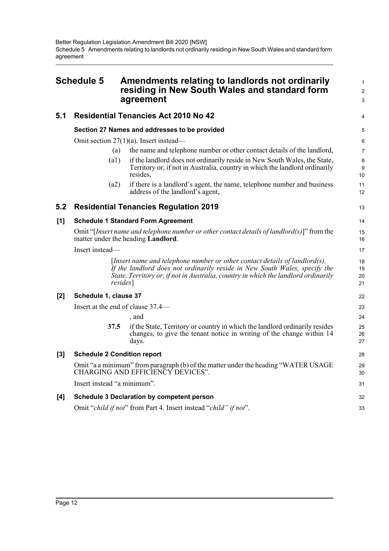<span id="page-15-0"></span>

| <b>Schedule 5</b> |                                    | Amendments relating to landlords not ordinarily<br>residing in New South Wales and standard form<br>agreement                                                                                                                                                    | $\mathbf{1}$<br>2    |
|-------------------|------------------------------------|------------------------------------------------------------------------------------------------------------------------------------------------------------------------------------------------------------------------------------------------------------------|----------------------|
|                   |                                    |                                                                                                                                                                                                                                                                  | 3                    |
| 5.1               |                                    | <b>Residential Tenancies Act 2010 No 42</b>                                                                                                                                                                                                                      | 4                    |
|                   |                                    | Section 27 Names and addresses to be provided                                                                                                                                                                                                                    | 5                    |
|                   |                                    | Omit section $27(1)(a)$ . Insert instead—                                                                                                                                                                                                                        | 6                    |
|                   | (a)                                | the name and telephone number or other contact details of the landlord,                                                                                                                                                                                          | $\overline{7}$       |
|                   | (a1)                               | if the landlord does not ordinarily reside in New South Wales, the State,<br>Territory or, if not in Australia, country in which the landlord ordinarily<br>resides,                                                                                             | 8<br>9<br>10         |
|                   | (a2)                               | if there is a landlord's agent, the name, telephone number and business<br>address of the landlord's agent,                                                                                                                                                      | 11<br>12             |
| 5.2               |                                    | <b>Residential Tenancies Regulation 2019</b>                                                                                                                                                                                                                     | 13                   |
| [1]               |                                    | <b>Schedule 1 Standard Form Agreement</b>                                                                                                                                                                                                                        | 14                   |
|                   |                                    | Omit "[Insert name and telephone number or other contact details of landlord(s)]" from the<br>matter under the heading Landlord.                                                                                                                                 | 15<br>16             |
|                   | Insert instead—                    |                                                                                                                                                                                                                                                                  | 17                   |
|                   |                                    | [Insert name and telephone number or other contact details of landlord(s).<br>If the landlord does not ordinarily reside in New South Wales, specify the<br>State, Territory or, if not in Australia, country in which the landlord ordinarily<br><i>resides</i> | 18<br>19<br>20<br>21 |
| [2]               | Schedule 1, clause 37              |                                                                                                                                                                                                                                                                  | 22                   |
|                   |                                    | Insert at the end of clause 37.4—                                                                                                                                                                                                                                | 23                   |
|                   |                                    | , and                                                                                                                                                                                                                                                            | 24                   |
|                   | 37.5                               | if the State, Territory or country in which the landlord ordinarily resides<br>changes, to give the tenant notice in writing of the change within 14<br>days.                                                                                                    | 25<br>26<br>27       |
| $[3]$             | <b>Schedule 2 Condition report</b> |                                                                                                                                                                                                                                                                  | 28                   |
|                   |                                    | Omit "a a minimum" from paragraph (b) of the matter under the heading "WATER USAGE<br>CHARGING AND EFFICIENCY DEVICES".                                                                                                                                          | 29<br>30             |
|                   | Insert instead "a minimum".        |                                                                                                                                                                                                                                                                  | 31                   |
| [4]               |                                    | <b>Schedule 3 Declaration by competent person</b>                                                                                                                                                                                                                | 32                   |
|                   |                                    | Omit "child if not" from Part 4. Insert instead "child" if not".                                                                                                                                                                                                 | 33                   |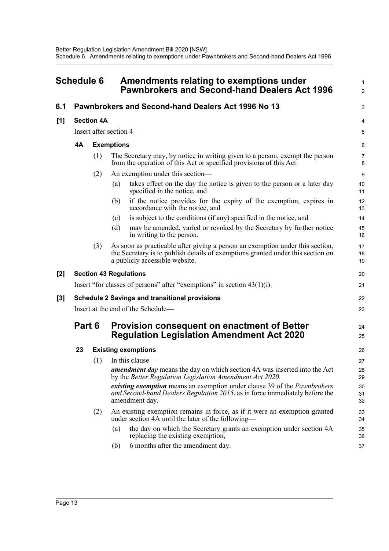<span id="page-16-0"></span>

| <b>Schedule 6</b> |                                                       |                   | Amendments relating to exemptions under<br><b>Pawnbrokers and Second-hand Dealers Act 1996</b> | 1<br>$\overline{2}$                                                                                                                                                                                |                     |
|-------------------|-------------------------------------------------------|-------------------|------------------------------------------------------------------------------------------------|----------------------------------------------------------------------------------------------------------------------------------------------------------------------------------------------------|---------------------|
| 6.1               |                                                       |                   |                                                                                                | Pawnbrokers and Second-hand Dealers Act 1996 No 13                                                                                                                                                 | 3                   |
| [1]               |                                                       | <b>Section 4A</b> |                                                                                                |                                                                                                                                                                                                    | 4                   |
|                   | Insert after section 4—                               |                   |                                                                                                |                                                                                                                                                                                                    |                     |
|                   | 4A                                                    |                   | <b>Exemptions</b>                                                                              |                                                                                                                                                                                                    | 6                   |
|                   |                                                       | (1)               |                                                                                                | The Secretary may, by notice in writing given to a person, exempt the person<br>from the operation of this Act or specified provisions of this Act.                                                | $\overline{7}$<br>8 |
|                   |                                                       | (2)               |                                                                                                | An exemption under this section—                                                                                                                                                                   | 9                   |
|                   |                                                       |                   | (a)                                                                                            | takes effect on the day the notice is given to the person or a later day<br>specified in the notice, and                                                                                           | 10<br>11            |
|                   |                                                       |                   | (b)                                                                                            | if the notice provides for the expiry of the exemption, expires in<br>accordance with the notice, and                                                                                              | 12<br>13            |
|                   |                                                       |                   | (c)                                                                                            | is subject to the conditions (if any) specified in the notice, and                                                                                                                                 | 14                  |
|                   |                                                       |                   | (d)                                                                                            | may be amended, varied or revoked by the Secretary by further notice<br>in writing to the person.                                                                                                  | 15<br>16            |
|                   |                                                       | (3)               |                                                                                                | As soon as practicable after giving a person an exemption under this section,<br>the Secretary is to publish details of exemptions granted under this section on<br>a publicly accessible website. | 17<br>18<br>19      |
| [2]               |                                                       |                   |                                                                                                | <b>Section 43 Regulations</b>                                                                                                                                                                      | 20                  |
|                   |                                                       |                   |                                                                                                | Insert "for classes of persons" after "exemptions" in section $43(1)(i)$ .                                                                                                                         | 21                  |
| [3]               | <b>Schedule 2 Savings and transitional provisions</b> |                   |                                                                                                |                                                                                                                                                                                                    |                     |
|                   | Insert at the end of the Schedule-                    |                   |                                                                                                |                                                                                                                                                                                                    |                     |
|                   | Part 6                                                |                   |                                                                                                | <b>Provision consequent on enactment of Better</b><br><b>Regulation Legislation Amendment Act 2020</b>                                                                                             | 24<br>25            |
|                   | 23                                                    |                   |                                                                                                | <b>Existing exemptions</b>                                                                                                                                                                         | 26                  |
|                   |                                                       | (1)               |                                                                                                | In this clause-                                                                                                                                                                                    | 27                  |
|                   |                                                       |                   |                                                                                                | <b>amendment day</b> means the day on which section 4A was inserted into the Act<br>by the Better Regulation Legislation Amendment Act 2020.                                                       | 28<br>29            |
|                   |                                                       |                   |                                                                                                | existing exemption means an exemption under clause 39 of the Pawnbrokers<br>and Second-hand Dealers Regulation 2015, as in force immediately before the<br>amendment day.                          | 30<br>31<br>32      |
|                   |                                                       | (2)               |                                                                                                | An existing exemption remains in force, as if it were an exemption granted<br>under section 4A until the later of the following—                                                                   | 33<br>34            |
|                   |                                                       |                   | (a)                                                                                            | the day on which the Secretary grants an exemption under section 4A<br>replacing the existing exemption,                                                                                           | 35<br>36            |

(b) 6 months after the amendment day.

37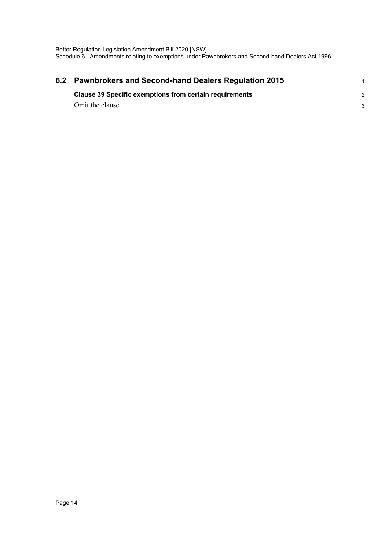| 6.2 | <b>Pawnbrokers and Second-hand Dealers Regulation 2015</b>     |  |  |  |  |  |  |
|-----|----------------------------------------------------------------|--|--|--|--|--|--|
|     | <b>Clause 39 Specific exemptions from certain requirements</b> |  |  |  |  |  |  |
|     | Omit the clause.                                               |  |  |  |  |  |  |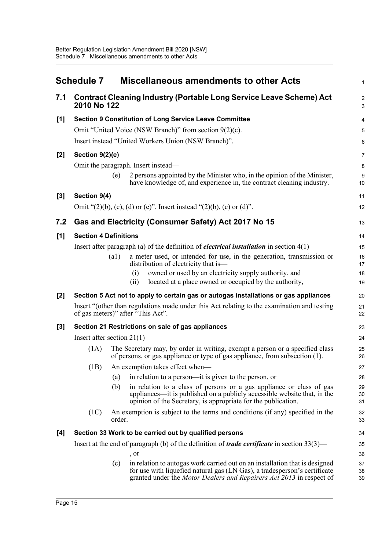<span id="page-18-0"></span>

|       | <b>Schedule 7</b>              |        | <b>Miscellaneous amendments to other Acts</b>                                                                                                                                                                                    | $\mathbf{1}$        |
|-------|--------------------------------|--------|----------------------------------------------------------------------------------------------------------------------------------------------------------------------------------------------------------------------------------|---------------------|
| 7.1   | 2010 No 122                    |        | <b>Contract Cleaning Industry (Portable Long Service Leave Scheme) Act</b>                                                                                                                                                       | $\overline{c}$<br>3 |
| [1]   |                                |        | <b>Section 9 Constitution of Long Service Leave Committee</b>                                                                                                                                                                    | $\overline{4}$      |
|       |                                |        | Omit "United Voice (NSW Branch)" from section 9(2)(c).                                                                                                                                                                           | 5                   |
|       |                                |        | Insert instead "United Workers Union (NSW Branch)".                                                                                                                                                                              | 6                   |
| [2]   | Section 9(2)(e)                |        |                                                                                                                                                                                                                                  | $\overline{7}$      |
|       |                                |        | Omit the paragraph. Insert instead—                                                                                                                                                                                              | 8                   |
|       |                                | (e)    | 2 persons appointed by the Minister who, in the opinion of the Minister,<br>have knowledge of, and experience in, the contract cleaning industry.                                                                                | 9<br>10             |
| [3]   | Section 9(4)                   |        |                                                                                                                                                                                                                                  | 11                  |
|       |                                |        | Omit " $(2)(b)$ , $(c)$ , $(d)$ or $(e)$ ". Insert instead " $(2)(b)$ , $(c)$ or $(d)$ ".                                                                                                                                        | 12                  |
| 7.2   |                                |        | Gas and Electricity (Consumer Safety) Act 2017 No 15                                                                                                                                                                             | 13                  |
| [1]   | <b>Section 4 Definitions</b>   |        |                                                                                                                                                                                                                                  | 14                  |
|       |                                |        | Insert after paragraph (a) of the definition of <i>electrical installation</i> in section $4(1)$ —                                                                                                                               | 15                  |
|       |                                | (a1)   | a meter used, or intended for use, in the generation, transmission or<br>distribution of electricity that is-                                                                                                                    | 16<br>17            |
|       |                                |        | owned or used by an electricity supply authority, and<br>(i)                                                                                                                                                                     | 18                  |
|       |                                |        | located at a place owned or occupied by the authority,<br>(ii)                                                                                                                                                                   | 19                  |
| [2]   |                                |        | Section 5 Act not to apply to certain gas or autogas installations or gas appliances                                                                                                                                             | 20                  |
|       |                                |        | Insert "(other than regulations made under this Act relating to the examination and testing<br>of gas meters)" after "This Act".                                                                                                 | 21<br>22            |
| $[3]$ |                                |        | Section 21 Restrictions on sale of gas appliances                                                                                                                                                                                | 23                  |
|       | Insert after section $21(1)$ — |        |                                                                                                                                                                                                                                  | 24                  |
|       | (1A)                           |        | The Secretary may, by order in writing, exempt a person or a specified class<br>of persons, or gas appliance or type of gas appliance, from subsection (1).                                                                      | 25<br>26            |
|       |                                |        | (1B) An exemption takes effect when—                                                                                                                                                                                             | $27\,$              |
|       |                                | (a)    | in relation to a person—it is given to the person, or                                                                                                                                                                            | 28                  |
|       |                                | (b)    | in relation to a class of persons or a gas appliance or class of gas<br>appliances—it is published on a publicly accessible website that, in the<br>opinion of the Secretary, is appropriate for the publication.                | 29<br>30<br>31      |
|       | (1C)                           | order. | An exemption is subject to the terms and conditions (if any) specified in the                                                                                                                                                    | 32<br>33            |
| [4]   |                                |        | Section 33 Work to be carried out by qualified persons                                                                                                                                                                           | 34                  |
|       |                                |        | Insert at the end of paragraph (b) of the definition of <i>trade certificate</i> in section $33(3)$ —                                                                                                                            | 35                  |
|       |                                |        | , or                                                                                                                                                                                                                             | 36                  |
|       |                                | (c)    | in relation to autogas work carried out on an installation that is designed<br>for use with liquefied natural gas (LN Gas), a tradesperson's certificate<br>granted under the Motor Dealers and Repairers Act 2013 in respect of | 37<br>38<br>39      |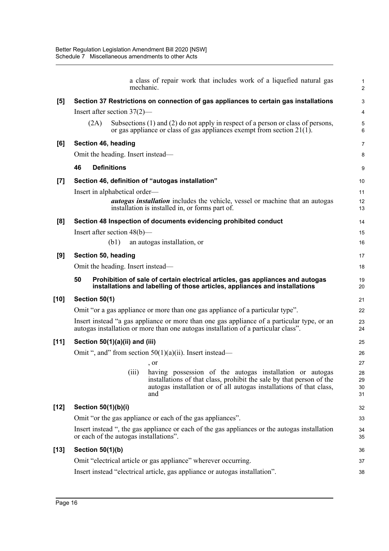|        |                                                                                                                                         | mechanic. | a class of repair work that includes work of a liquefied natural gas                                                                                                                                           | $\mathbf{1}$<br>2    |  |
|--------|-----------------------------------------------------------------------------------------------------------------------------------------|-----------|----------------------------------------------------------------------------------------------------------------------------------------------------------------------------------------------------------------|----------------------|--|
| [5]    | Section 37 Restrictions on connection of gas appliances to certain gas installations                                                    |           |                                                                                                                                                                                                                |                      |  |
|        | Insert after section $37(2)$ —                                                                                                          |           |                                                                                                                                                                                                                |                      |  |
|        | (2A)                                                                                                                                    |           | Subsections (1) and (2) do not apply in respect of a person or class of persons,<br>or gas appliance or class of gas appliances exempt from section $21(1)$ .                                                  | 5<br>6               |  |
| [6]    | Section 46, heading                                                                                                                     |           |                                                                                                                                                                                                                |                      |  |
|        | Omit the heading. Insert instead—                                                                                                       |           |                                                                                                                                                                                                                |                      |  |
|        | 46<br><b>Definitions</b>                                                                                                                |           |                                                                                                                                                                                                                | 9                    |  |
| $[7]$  | Section 46, definition of "autogas installation"                                                                                        |           |                                                                                                                                                                                                                |                      |  |
|        | Insert in alphabetical order—                                                                                                           |           |                                                                                                                                                                                                                | 11                   |  |
|        |                                                                                                                                         |           | <i>autogas installation</i> includes the vehicle, vessel or machine that an autogas<br>installation is installed in, or forms part of.                                                                         | 12<br>13             |  |
| [8]    |                                                                                                                                         |           | Section 48 Inspection of documents evidencing prohibited conduct                                                                                                                                               | 14                   |  |
|        | Insert after section $48(b)$ —                                                                                                          |           |                                                                                                                                                                                                                | 15                   |  |
|        | (b1)                                                                                                                                    |           | an autogas installation, or                                                                                                                                                                                    | 16                   |  |
| [9]    | Section 50, heading                                                                                                                     |           |                                                                                                                                                                                                                | 17                   |  |
|        | Omit the heading. Insert instead—                                                                                                       |           |                                                                                                                                                                                                                |                      |  |
|        | 50                                                                                                                                      |           | Prohibition of sale of certain electrical articles, gas appliances and autogas<br>installations and labelling of those articles, appliances and installations                                                  | 19<br>20             |  |
| [10]   | Section 50(1)                                                                                                                           |           |                                                                                                                                                                                                                | 21                   |  |
|        |                                                                                                                                         |           | Omit "or a gas appliance or more than one gas appliance of a particular type".                                                                                                                                 | 22                   |  |
|        |                                                                                                                                         |           | Insert instead "a gas appliance or more than one gas appliance of a particular type, or an<br>autogas installation or more than one autogas installation of a particular class".                               | 23<br>24             |  |
| [11]   | Section 50(1)(a)(ii) and (iii)                                                                                                          |           |                                                                                                                                                                                                                |                      |  |
|        |                                                                                                                                         |           | Omit ", and" from section $50(1)(a)(ii)$ . Insert instead—                                                                                                                                                     | 26                   |  |
|        |                                                                                                                                         |           | , or                                                                                                                                                                                                           | 27                   |  |
|        |                                                                                                                                         | (iii)     | having possession of the autogas installation or autogas<br>installations of that class, prohibit the sale by that person of the<br>autogas installation or of all autogas installations of that class,<br>and | 28<br>29<br>30<br>31 |  |
| [12]   | Section 50(1)(b)(i)                                                                                                                     |           |                                                                                                                                                                                                                |                      |  |
|        | Omit "or the gas appliance or each of the gas appliances".                                                                              |           |                                                                                                                                                                                                                |                      |  |
|        | Insert instead ", the gas appliance or each of the gas appliances or the autogas installation<br>or each of the autogas installations". |           |                                                                                                                                                                                                                |                      |  |
| $[13]$ | <b>Section 50(1)(b)</b>                                                                                                                 |           |                                                                                                                                                                                                                |                      |  |
|        | Omit "electrical article or gas appliance" wherever occurring.                                                                          |           |                                                                                                                                                                                                                |                      |  |
|        | Insert instead "electrical article, gas appliance or autogas installation".                                                             |           |                                                                                                                                                                                                                |                      |  |
|        |                                                                                                                                         |           |                                                                                                                                                                                                                |                      |  |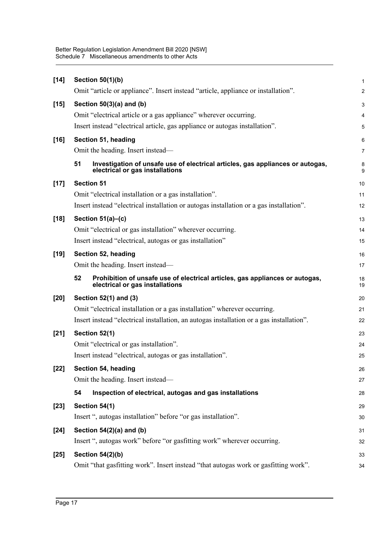| $[14]$ | Section 50(1)(b)                                                                                                        | 1                       |  |  |
|--------|-------------------------------------------------------------------------------------------------------------------------|-------------------------|--|--|
|        | Omit "article or appliance". Insert instead "article, appliance or installation".                                       | $\overline{\mathbf{c}}$ |  |  |
| $[15]$ | Section $50(3)(a)$ and (b)                                                                                              |                         |  |  |
|        | Omit "electrical article or a gas appliance" wherever occurring.                                                        | 4                       |  |  |
|        | Insert instead "electrical article, gas appliance or autogas installation".                                             | 5                       |  |  |
| $[16]$ | Section 51, heading                                                                                                     |                         |  |  |
|        | Omit the heading. Insert instead—                                                                                       | 7                       |  |  |
|        | 51<br>Investigation of unsafe use of electrical articles, gas appliances or autogas,<br>electrical or gas installations | 8<br>9                  |  |  |
| $[17]$ | <b>Section 51</b>                                                                                                       |                         |  |  |
|        | Omit "electrical installation or a gas installation".                                                                   | 11                      |  |  |
|        | Insert instead "electrical installation or autogas installation or a gas installation".                                 |                         |  |  |
| $[18]$ | Section $51(a)$ –(c)                                                                                                    |                         |  |  |
|        | Omit "electrical or gas installation" wherever occurring.                                                               | 14                      |  |  |
|        | Insert instead "electrical, autogas or gas installation"                                                                | 15                      |  |  |
| $[19]$ | Section 52, heading                                                                                                     |                         |  |  |
|        | Omit the heading. Insert instead—                                                                                       |                         |  |  |
|        | 52<br>Prohibition of unsafe use of electrical articles, gas appliances or autogas,<br>electrical or gas installations   | 18<br>19                |  |  |
| [20]   | Section 52(1) and (3)                                                                                                   |                         |  |  |
|        | Omit "electrical installation or a gas installation" wherever occurring.                                                | 21                      |  |  |
|        | Insert instead "electrical installation, an autogas installation or a gas installation".                                |                         |  |  |
| $[21]$ | Section 52(1)                                                                                                           |                         |  |  |
|        | Omit "electrical or gas installation".                                                                                  | 24                      |  |  |
|        | Insert instead "electrical, autogas or gas installation".                                                               | 25                      |  |  |
| $[22]$ | Section 54, heading                                                                                                     | 26                      |  |  |
|        | Omit the heading. Insert instead—                                                                                       | 27                      |  |  |
|        | Inspection of electrical, autogas and gas installations<br>54                                                           | 28                      |  |  |
| $[23]$ | Section 54(1)                                                                                                           | 29                      |  |  |
|        | Insert ", autogas installation" before "or gas installation".                                                           | 30                      |  |  |
| $[24]$ | Section 54(2)(a) and (b)                                                                                                | 31                      |  |  |
|        | Insert ", autogas work" before "or gasfitting work" wherever occurring.                                                 | 32                      |  |  |
| $[25]$ | <b>Section 54(2)(b)</b>                                                                                                 | 33                      |  |  |
|        | Omit "that gasfitting work". Insert instead "that autogas work or gasfitting work".                                     | 34                      |  |  |